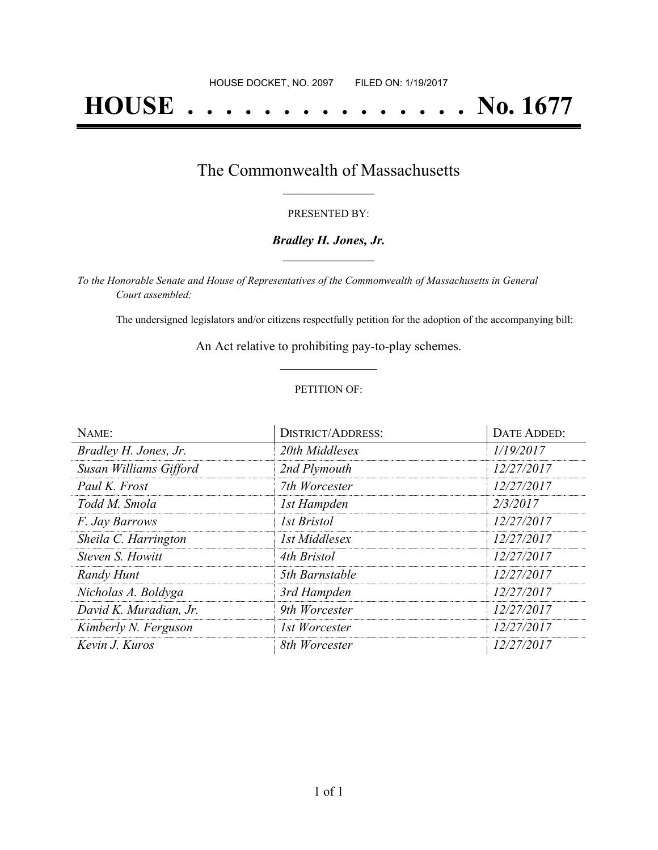# **HOUSE . . . . . . . . . . . . . . . No. 1677**

## The Commonwealth of Massachusetts **\_\_\_\_\_\_\_\_\_\_\_\_\_\_\_\_\_**

#### PRESENTED BY:

#### *Bradley H. Jones, Jr.* **\_\_\_\_\_\_\_\_\_\_\_\_\_\_\_\_\_**

*To the Honorable Senate and House of Representatives of the Commonwealth of Massachusetts in General Court assembled:*

The undersigned legislators and/or citizens respectfully petition for the adoption of the accompanying bill:

An Act relative to prohibiting pay-to-play schemes. **\_\_\_\_\_\_\_\_\_\_\_\_\_\_\_**

#### PETITION OF:

| NAME:                  | <b>DISTRICT/ADDRESS:</b> | DATE ADDED: |
|------------------------|--------------------------|-------------|
| Bradley H. Jones, Jr.  | 20th Middlesex           | 1/19/2017   |
| Susan Williams Gifford | 2nd Plymouth             | 12/27/2017  |
| Paul K. Frost          | 7th Worcester            | 12/27/2017  |
| Todd M. Smola          | 1st Hampden              | 2/3/2017    |
| F. Jay Barrows         | <b>Ist Bristol</b>       | 12/27/2017  |
| Sheila C. Harrington   | 1st Middlesex            | 12/27/2017  |
| Steven S. Howitt       | 4th Bristol              | 12/27/2017  |
| Randy Hunt             | 5th Barnstable           | 12/27/2017  |
| Nicholas A. Boldyga    | 3rd Hampden              | 12/27/2017  |
| David K. Muradian, Jr. | 9th Worcester            | 12/27/2017  |
| Kimberly N. Ferguson   | 1st Worcester            | 12/27/2017  |
| Kevin J. Kuros         | 8th Worcester            | 12/27/2017  |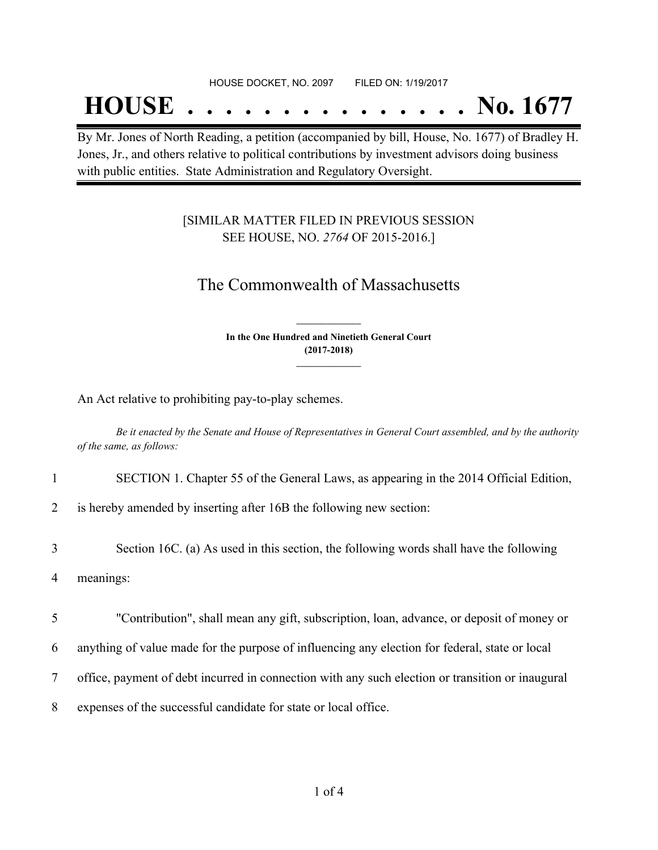## **HOUSE . . . . . . . . . . . . . . . No. 1677**

By Mr. Jones of North Reading, a petition (accompanied by bill, House, No. 1677) of Bradley H. Jones, Jr., and others relative to political contributions by investment advisors doing business with public entities. State Administration and Regulatory Oversight.

### [SIMILAR MATTER FILED IN PREVIOUS SESSION SEE HOUSE, NO. *2764* OF 2015-2016.]

## The Commonwealth of Massachusetts

**In the One Hundred and Ninetieth General Court (2017-2018) \_\_\_\_\_\_\_\_\_\_\_\_\_\_\_**

**\_\_\_\_\_\_\_\_\_\_\_\_\_\_\_**

An Act relative to prohibiting pay-to-play schemes.

Be it enacted by the Senate and House of Representatives in General Court assembled, and by the authority *of the same, as follows:*

1 SECTION 1. Chapter 55 of the General Laws, as appearing in the 2014 Official Edition,

2 is hereby amended by inserting after 16B the following new section:

3 Section 16C. (a) As used in this section, the following words shall have the following

4 meanings:

5 "Contribution", shall mean any gift, subscription, loan, advance, or deposit of money or

6 anything of value made for the purpose of influencing any election for federal, state or local

7 office, payment of debt incurred in connection with any such election or transition or inaugural

8 expenses of the successful candidate for state or local office.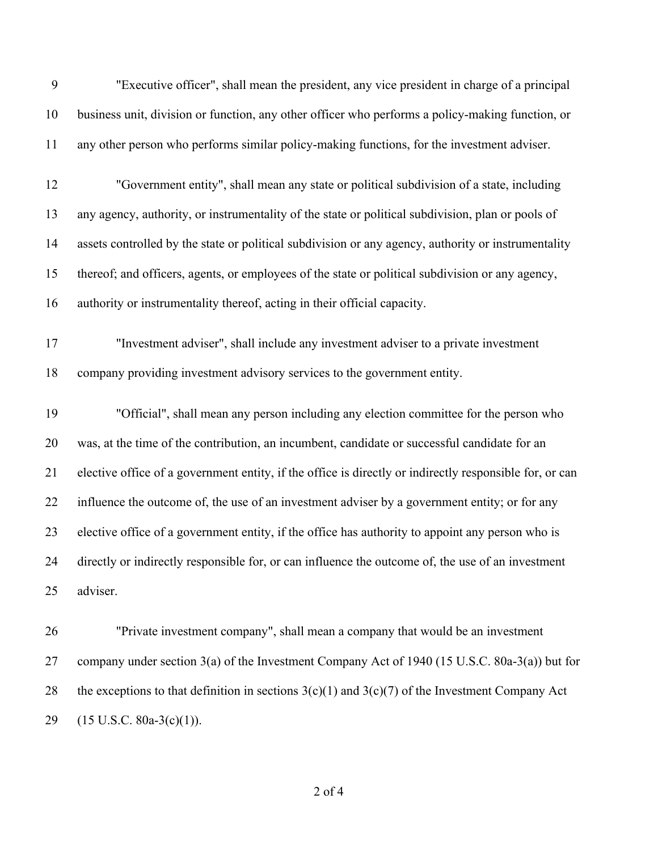| 9  | "Executive officer", shall mean the president, any vice president in charge of a principal              |
|----|---------------------------------------------------------------------------------------------------------|
| 10 | business unit, division or function, any other officer who performs a policy-making function, or        |
| 11 | any other person who performs similar policy-making functions, for the investment adviser.              |
| 12 | "Government entity", shall mean any state or political subdivision of a state, including                |
| 13 | any agency, authority, or instrumentality of the state or political subdivision, plan or pools of       |
| 14 | assets controlled by the state or political subdivision or any agency, authority or instrumentality     |
| 15 | thereof; and officers, agents, or employees of the state or political subdivision or any agency,        |
| 16 | authority or instrumentality thereof, acting in their official capacity.                                |
| 17 | "Investment adviser", shall include any investment adviser to a private investment                      |
| 18 | company providing investment advisory services to the government entity.                                |
| 19 | "Official", shall mean any person including any election committee for the person who                   |
| 20 | was, at the time of the contribution, an incumbent, candidate or successful candidate for an            |
| 21 | elective office of a government entity, if the office is directly or indirectly responsible for, or can |
| 22 | influence the outcome of, the use of an investment adviser by a government entity; or for any           |
| 23 | elective office of a government entity, if the office has authority to appoint any person who is        |
| 24 | directly or indirectly responsible for, or can influence the outcome of, the use of an investment       |
| 25 | adviser.                                                                                                |
| 26 | "Private investment company", shall mean a company that would be an investment                          |
| 27 | company under section 3(a) of the Investment Company Act of 1940 (15 U.S.C. 80a-3(a)) but for           |

(15 U.S.C. 80a-3(c)(1)).

of 4

28 the exceptions to that definition in sections  $3(c)(1)$  and  $3(c)(7)$  of the Investment Company Act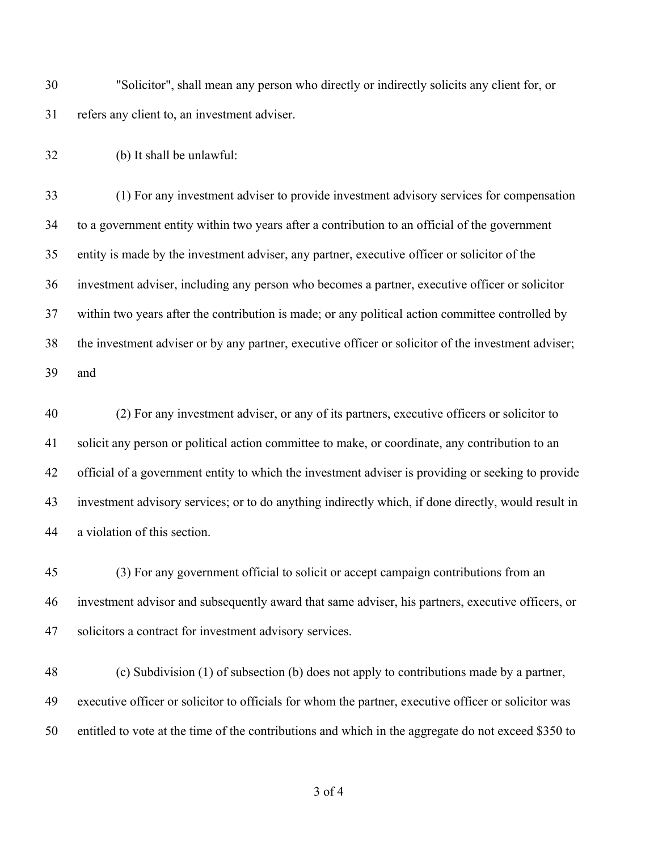"Solicitor", shall mean any person who directly or indirectly solicits any client for, or refers any client to, an investment adviser.

(b) It shall be unlawful:

 (1) For any investment adviser to provide investment advisory services for compensation to a government entity within two years after a contribution to an official of the government entity is made by the investment adviser, any partner, executive officer or solicitor of the investment adviser, including any person who becomes a partner, executive officer or solicitor within two years after the contribution is made; or any political action committee controlled by the investment adviser or by any partner, executive officer or solicitor of the investment adviser; and

 (2) For any investment adviser, or any of its partners, executive officers or solicitor to solicit any person or political action committee to make, or coordinate, any contribution to an official of a government entity to which the investment adviser is providing or seeking to provide investment advisory services; or to do anything indirectly which, if done directly, would result in a violation of this section.

 (3) For any government official to solicit or accept campaign contributions from an investment advisor and subsequently award that same adviser, his partners, executive officers, or solicitors a contract for investment advisory services.

 (c) Subdivision (1) of subsection (b) does not apply to contributions made by a partner, executive officer or solicitor to officials for whom the partner, executive officer or solicitor was entitled to vote at the time of the contributions and which in the aggregate do not exceed \$350 to

of 4